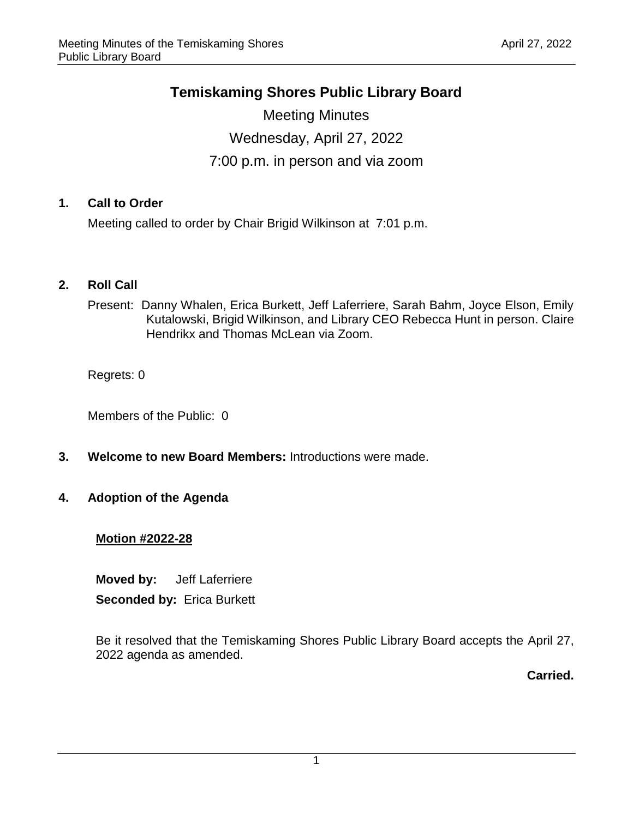## **Temiskaming Shores Public Library Board**

Meeting Minutes Wednesday, April 27, 2022 7:00 p.m. in person and via zoom

## **1. Call to Order**

Meeting called to order by Chair Brigid Wilkinson at 7:01 p.m.

## **2. Roll Call**

Present: Danny Whalen, Erica Burkett, Jeff Laferriere, Sarah Bahm, Joyce Elson, Emily Kutalowski, Brigid Wilkinson, and Library CEO Rebecca Hunt in person. Claire Hendrikx and Thomas McLean via Zoom.

Regrets: 0

Members of the Public: 0

**3. Welcome to new Board Members:** Introductions were made.

## **4. Adoption of the Agenda**

## **Motion #2022-28**

**Moved by:** Jeff Laferriere **Seconded by:** Erica Burkett

Be it resolved that the Temiskaming Shores Public Library Board accepts the April 27, 2022 agenda as amended.

**Carried.**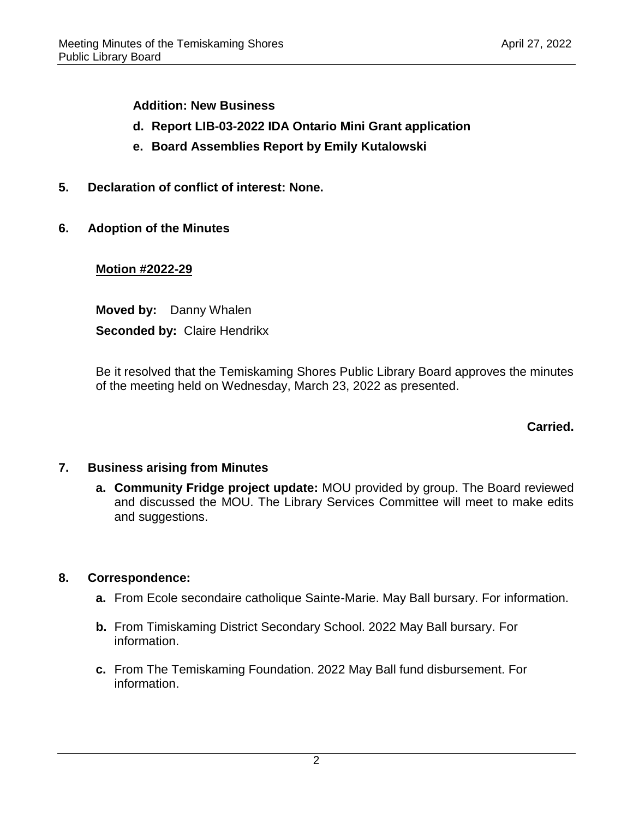**Addition: New Business**

- **d. Report LIB-03-2022 IDA Ontario Mini Grant application**
- **e. Board Assemblies Report by Emily Kutalowski**
- **5. Declaration of conflict of interest: None.**
- **6. Adoption of the Minutes**

## **Motion #2022-29**

**Moved by:** Danny Whalen **Seconded by:** Claire Hendrikx

Be it resolved that the Temiskaming Shores Public Library Board approves the minutes of the meeting held on Wednesday, March 23, 2022 as presented.

**Carried.**

## **7. Business arising from Minutes**

**a. Community Fridge project update:** MOU provided by group. The Board reviewed and discussed the MOU. The Library Services Committee will meet to make edits and suggestions.

## **8. Correspondence:**

- **a.** From Ecole secondaire catholique Sainte-Marie. May Ball bursary. For information.
- **b.** From Timiskaming District Secondary School. 2022 May Ball bursary. For information.
- **c.** From The Temiskaming Foundation. 2022 May Ball fund disbursement. For information.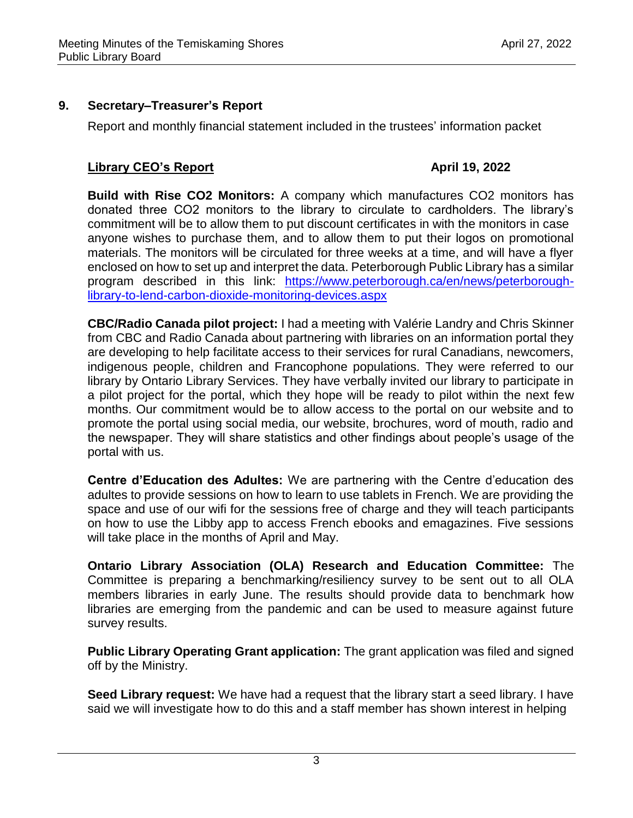## **9. Secretary–Treasurer's Report**

Report and monthly financial statement included in the trustees' information packet

## **Library CEO's Report April 19, 2022**

**Build with Rise CO2 Monitors:** A company which manufactures CO2 monitors has donated three CO2 monitors to the library to circulate to cardholders. The library's commitment will be to allow them to put discount certificates in with the monitors in case anyone wishes to purchase them, and to allow them to put their logos on promotional materials. The monitors will be circulated for three weeks at a time, and will have a flyer enclosed on how to set up and interpret the data. Peterborough Public Library has a similar program described in this link: [https://www.peterborough.ca/en/news/peterborough](https://www.peterborough.ca/en/news/peterborough-library-to-lend-carbon-dioxide-monitoring-devices.aspx)[library-to-lend-carbon-dioxide-monitoring-devices.aspx](https://www.peterborough.ca/en/news/peterborough-library-to-lend-carbon-dioxide-monitoring-devices.aspx)

**CBC/Radio Canada pilot project:** I had a meeting with Valérie Landry and Chris Skinner from CBC and Radio Canada about partnering with libraries on an information portal they are developing to help facilitate access to their services for rural Canadians, newcomers, indigenous people, children and Francophone populations. They were referred to our library by Ontario Library Services. They have verbally invited our library to participate in a pilot project for the portal, which they hope will be ready to pilot within the next few months. Our commitment would be to allow access to the portal on our website and to promote the portal using social media, our website, brochures, word of mouth, radio and the newspaper. They will share statistics and other findings about people's usage of the portal with us.

**Centre d'Education des Adultes:** We are partnering with the Centre d'education des adultes to provide sessions on how to learn to use tablets in French. We are providing the space and use of our wifi for the sessions free of charge and they will teach participants on how to use the Libby app to access French ebooks and emagazines. Five sessions will take place in the months of April and May.

**Ontario Library Association (OLA) Research and Education Committee:** The Committee is preparing a benchmarking/resiliency survey to be sent out to all OLA members libraries in early June. The results should provide data to benchmark how libraries are emerging from the pandemic and can be used to measure against future survey results.

**Public Library Operating Grant application:** The grant application was filed and signed off by the Ministry.

**Seed Library request:** We have had a request that the library start a seed library. I have said we will investigate how to do this and a staff member has shown interest in helping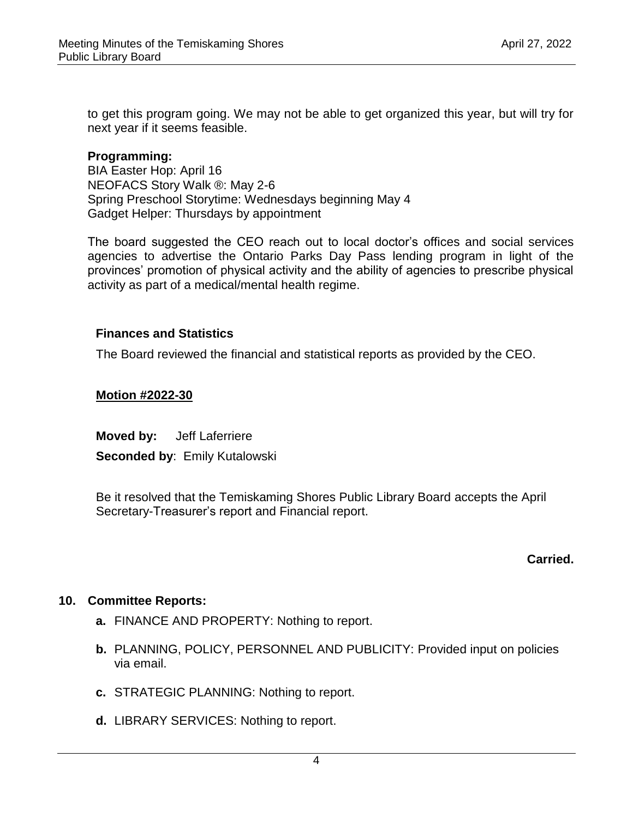to get this program going. We may not be able to get organized this year, but will try for next year if it seems feasible.

## **Programming:**

BIA Easter Hop: April 16 NEOFACS Story Walk ®: May 2-6 Spring Preschool Storytime: Wednesdays beginning May 4 Gadget Helper: Thursdays by appointment

The board suggested the CEO reach out to local doctor's offices and social services agencies to advertise the Ontario Parks Day Pass lending program in light of the provinces' promotion of physical activity and the ability of agencies to prescribe physical activity as part of a medical/mental health regime.

## **Finances and Statistics**

The Board reviewed the financial and statistical reports as provided by the CEO.

## **Motion #2022-30**

**Moved by:** Jeff Laferriere

**Seconded by**: Emily Kutalowski

Be it resolved that the Temiskaming Shores Public Library Board accepts the April Secretary-Treasurer's report and Financial report.

## **Carried.**

## **10. Committee Reports:**

- **a.** FINANCE AND PROPERTY: Nothing to report.
- **b.** PLANNING, POLICY, PERSONNEL AND PUBLICITY: Provided input on policies via email.
- **c.** STRATEGIC PLANNING: Nothing to report.
- **d.** LIBRARY SERVICES: Nothing to report.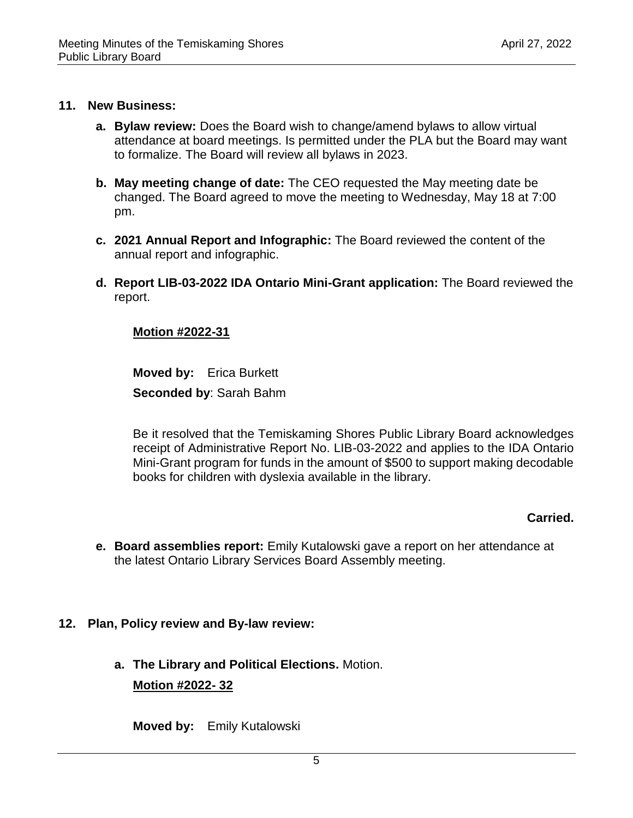#### **11. New Business:**

- **a. Bylaw review:** Does the Board wish to change/amend bylaws to allow virtual attendance at board meetings. Is permitted under the PLA but the Board may want to formalize. The Board will review all bylaws in 2023.
- **b. May meeting change of date:** The CEO requested the May meeting date be changed. The Board agreed to move the meeting to Wednesday, May 18 at 7:00 pm.
- **c. 2021 Annual Report and Infographic:** The Board reviewed the content of the annual report and infographic.
- **d. Report LIB-03-2022 IDA Ontario Mini-Grant application:** The Board reviewed the report.

## **Motion #2022-31**

**Moved by:** Erica Burkett **Seconded by**: Sarah Bahm

Be it resolved that the Temiskaming Shores Public Library Board acknowledges receipt of Administrative Report No. LIB-03-2022 and applies to the IDA Ontario Mini-Grant program for funds in the amount of \$500 to support making decodable books for children with dyslexia available in the library.

## **Carried.**

**e. Board assemblies report:** Emily Kutalowski gave a report on her attendance at the latest Ontario Library Services Board Assembly meeting.

## **12. Plan, Policy review and By-law review:**

**a. The Library and Political Elections.** Motion. **Motion #2022- 32** 

**Moved by:** Emily Kutalowski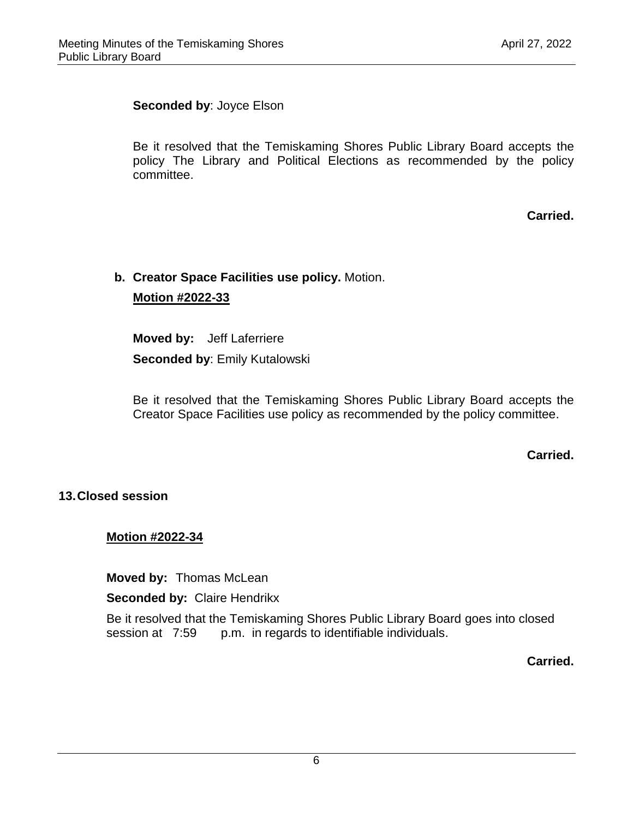## **Seconded by**: Joyce Elson

Be it resolved that the Temiskaming Shores Public Library Board accepts the policy The Library and Political Elections as recommended by the policy committee.

**Carried.**

# **b. Creator Space Facilities use policy.** Motion. **Motion #2022-33**

**Moved by:** Jeff Laferriere **Seconded by**: Emily Kutalowski

Be it resolved that the Temiskaming Shores Public Library Board accepts the Creator Space Facilities use policy as recommended by the policy committee.

**Carried.**

## **13.Closed session**

## **Motion #2022-34**

**Moved by:** Thomas McLean

**Seconded by:** Claire Hendrikx

Be it resolved that the Temiskaming Shores Public Library Board goes into closed session at 7:59 p.m. in regards to identifiable individuals.

**Carried.**